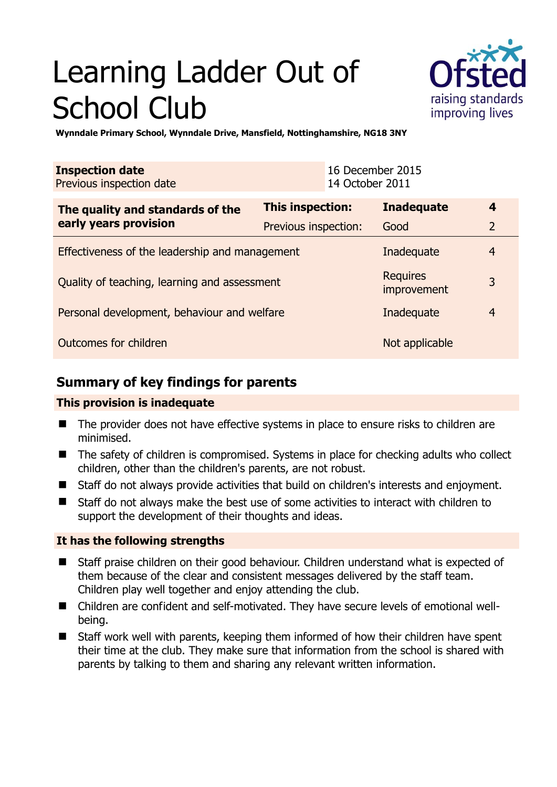# Learning Ladder Out of School Club



**Wynndale Primary School, Wynndale Drive, Mansfield, Nottinghamshire, NG18 3NY** 

| <b>Inspection date</b><br>Previous inspection date        |                      | 16 December 2015<br>14 October 2011 |                                |                |
|-----------------------------------------------------------|----------------------|-------------------------------------|--------------------------------|----------------|
| The quality and standards of the<br>early years provision | This inspection:     |                                     | <b>Inadequate</b>              | $\overline{4}$ |
|                                                           | Previous inspection: |                                     | Good                           | $\overline{2}$ |
| Effectiveness of the leadership and management            |                      |                                     | Inadequate                     | $\overline{4}$ |
| Quality of teaching, learning and assessment              |                      |                                     | <b>Requires</b><br>improvement | 3              |
| Personal development, behaviour and welfare               |                      |                                     | Inadequate                     | $\overline{4}$ |
| Outcomes for children                                     |                      |                                     | Not applicable                 |                |

# **Summary of key findings for parents**

### **This provision is inadequate**

- The provider does not have effective systems in place to ensure risks to children are minimised.
- The safety of children is compromised. Systems in place for checking adults who collect children, other than the children's parents, are not robust.
- Staff do not always provide activities that build on children's interests and enjoyment.
- Staff do not always make the best use of some activities to interact with children to support the development of their thoughts and ideas.

## **It has the following strengths**

- Staff praise children on their good behaviour. Children understand what is expected of them because of the clear and consistent messages delivered by the staff team. Children play well together and enjoy attending the club.
- Children are confident and self-motivated. They have secure levels of emotional wellbeing.
- Staff work well with parents, keeping them informed of how their children have spent their time at the club. They make sure that information from the school is shared with parents by talking to them and sharing any relevant written information.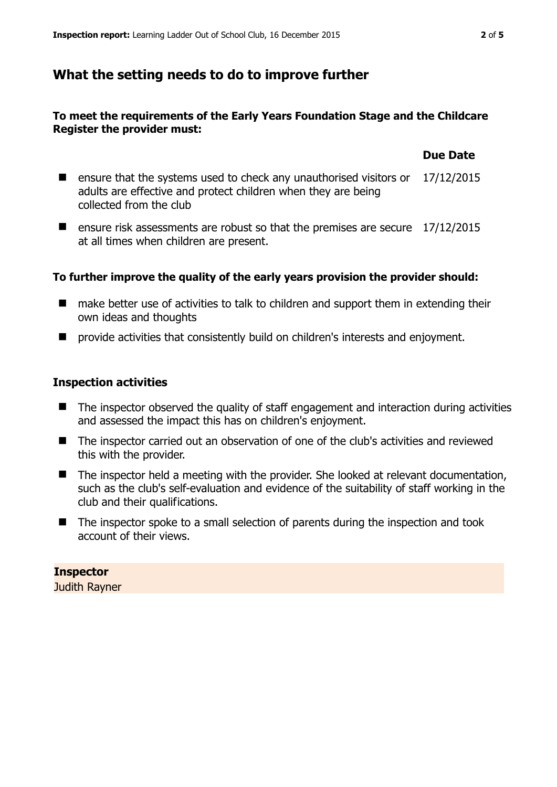## **What the setting needs to do to improve further**

#### **To meet the requirements of the Early Years Foundation Stage and the Childcare Register the provider must:**

## ■ ensure that the systems used to check any unauthorised visitors or 17/12/2015 adults are effective and protect children when they are being collected from the club

■ ensure risk assessments are robust so that the premises are secure 17/12/2015 at all times when children are present.

#### **To further improve the quality of the early years provision the provider should:**

- make better use of activities to talk to children and support them in extending their own ideas and thoughts
- $\blacksquare$  provide activities that consistently build on children's interests and enjoyment.

#### **Inspection activities**

- The inspector observed the quality of staff engagement and interaction during activities and assessed the impact this has on children's enjoyment.
- The inspector carried out an observation of one of the club's activities and reviewed this with the provider.
- The inspector held a meeting with the provider. She looked at relevant documentation, such as the club's self-evaluation and evidence of the suitability of staff working in the club and their qualifications.
- The inspector spoke to a small selection of parents during the inspection and took account of their views.

#### **Inspector**

Judith Rayner

#### **Due Date**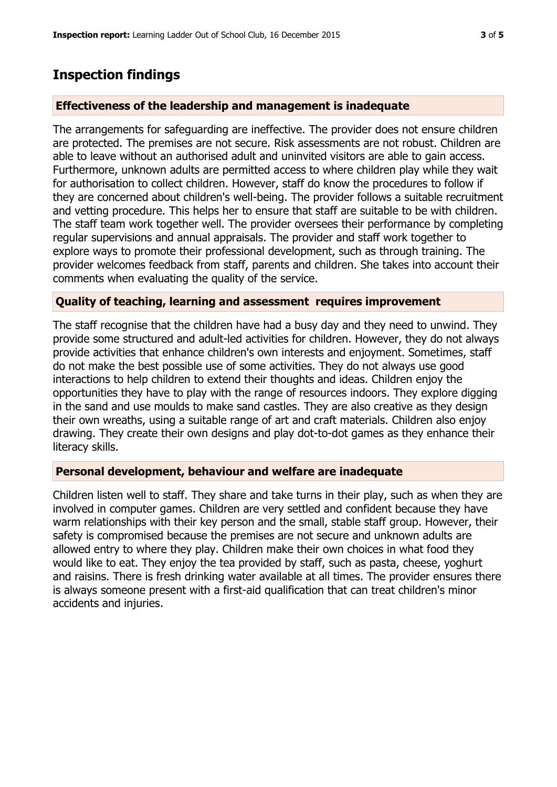## **Inspection findings**

#### **Effectiveness of the leadership and management is inadequate**

The arrangements for safeguarding are ineffective. The provider does not ensure children are protected. The premises are not secure. Risk assessments are not robust. Children are able to leave without an authorised adult and uninvited visitors are able to gain access. Furthermore, unknown adults are permitted access to where children play while they wait for authorisation to collect children. However, staff do know the procedures to follow if they are concerned about children's well-being. The provider follows a suitable recruitment and vetting procedure. This helps her to ensure that staff are suitable to be with children. The staff team work together well. The provider oversees their performance by completing regular supervisions and annual appraisals. The provider and staff work together to explore ways to promote their professional development, such as through training. The provider welcomes feedback from staff, parents and children. She takes into account their comments when evaluating the quality of the service.

#### **Quality of teaching, learning and assessment requires improvement**

The staff recognise that the children have had a busy day and they need to unwind. They provide some structured and adult-led activities for children. However, they do not always provide activities that enhance children's own interests and enjoyment. Sometimes, staff do not make the best possible use of some activities. They do not always use good interactions to help children to extend their thoughts and ideas. Children enjoy the opportunities they have to play with the range of resources indoors. They explore digging in the sand and use moulds to make sand castles. They are also creative as they design their own wreaths, using a suitable range of art and craft materials. Children also enjoy drawing. They create their own designs and play dot-to-dot games as they enhance their literacy skills.

#### **Personal development, behaviour and welfare are inadequate**

Children listen well to staff. They share and take turns in their play, such as when they are involved in computer games. Children are very settled and confident because they have warm relationships with their key person and the small, stable staff group. However, their safety is compromised because the premises are not secure and unknown adults are allowed entry to where they play. Children make their own choices in what food they would like to eat. They enjoy the tea provided by staff, such as pasta, cheese, yoghurt and raisins. There is fresh drinking water available at all times. The provider ensures there is always someone present with a first-aid qualification that can treat children's minor accidents and injuries.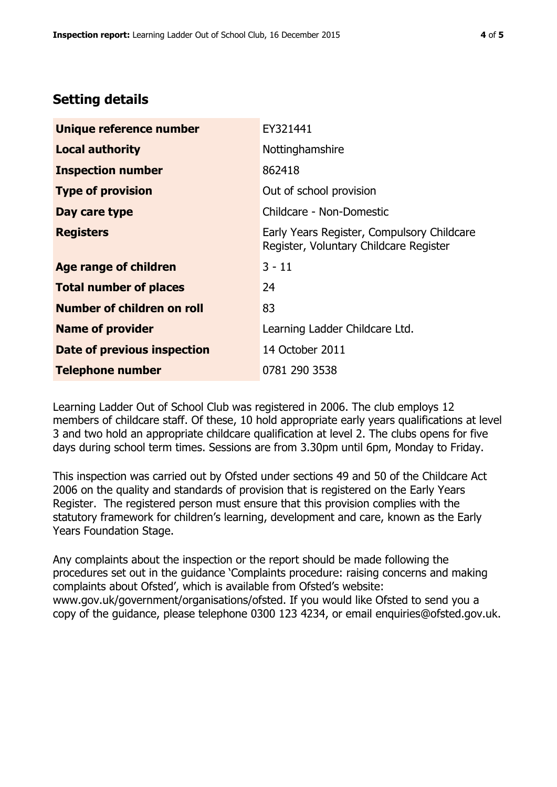# **Setting details**

| Unique reference number       | EY321441                                                                             |  |
|-------------------------------|--------------------------------------------------------------------------------------|--|
| <b>Local authority</b>        | Nottinghamshire                                                                      |  |
| <b>Inspection number</b>      | 862418                                                                               |  |
| <b>Type of provision</b>      | Out of school provision                                                              |  |
| Day care type                 | Childcare - Non-Domestic                                                             |  |
| <b>Registers</b>              | Early Years Register, Compulsory Childcare<br>Register, Voluntary Childcare Register |  |
| <b>Age range of children</b>  | $3 - 11$                                                                             |  |
| <b>Total number of places</b> | 24                                                                                   |  |
| Number of children on roll    | 83                                                                                   |  |
| <b>Name of provider</b>       | Learning Ladder Childcare Ltd.                                                       |  |
| Date of previous inspection   | 14 October 2011                                                                      |  |
| <b>Telephone number</b>       | 0781 290 3538                                                                        |  |

Learning Ladder Out of School Club was registered in 2006. The club employs 12 members of childcare staff. Of these, 10 hold appropriate early years qualifications at level 3 and two hold an appropriate childcare qualification at level 2. The clubs opens for five days during school term times. Sessions are from 3.30pm until 6pm, Monday to Friday.

This inspection was carried out by Ofsted under sections 49 and 50 of the Childcare Act 2006 on the quality and standards of provision that is registered on the Early Years Register. The registered person must ensure that this provision complies with the statutory framework for children's learning, development and care, known as the Early Years Foundation Stage.

Any complaints about the inspection or the report should be made following the procedures set out in the guidance 'Complaints procedure: raising concerns and making complaints about Ofsted', which is available from Ofsted's website: www.gov.uk/government/organisations/ofsted. If you would like Ofsted to send you a copy of the guidance, please telephone 0300 123 4234, or email enquiries@ofsted.gov.uk.